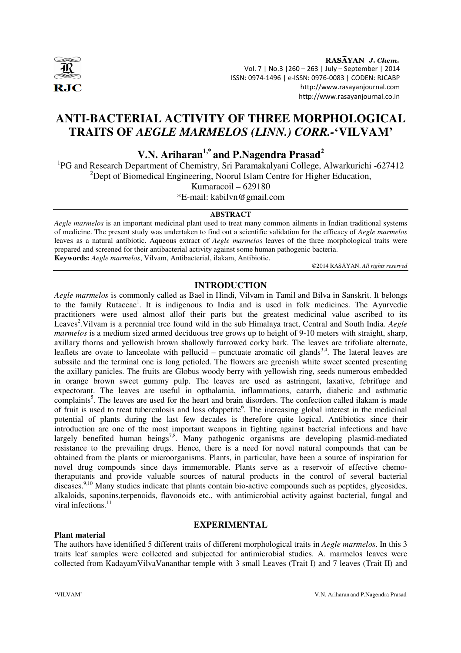

RASAYAN J. Chem. Vol. 7 | No.3 |260 – 263 | July – September | 2014 ISSN: 0974-1496 | e-ISSN: 0976-0083 | CODEN: RJCABP http://www.rasayanjournal.com http://www.rasayanjournal.co.in

## **ANTI-BACTERIAL ACTIVITY OF THREE MORPHOLOGICAL TRAITS OF** *AEGLE MARMELOS (LINN.) CORR.-***'VILVAM'**

# **V.N. Ariharan1,\* and P.Nagendra Prasad<sup>2</sup>**

<sup>1</sup>PG and Research Department of Chemistry, Sri Paramakalyani College, Alwarkurichi -627412 <sup>2</sup>Dept of Biomedical Engineering, Noorul Islam Centre for Higher Education,

Kumaracoil – 629180

\*E-mail: kabilvn@gmail.com

#### **ABSTRACT**

*Aegle marmelos* is an important medicinal plant used to treat many common ailments in Indian traditional systems of medicine. The present study was undertaken to find out a scientific validation for the efficacy of *Aegle marmelos*  leaves as a natural antibiotic. Aqueous extract of *Aegle marmelos* leaves of the three morphological traits were prepared and screened for their antibacterial activity against some human pathogenic bacteria. **Keywords:** *Aegle marmelos*, Vilvam, Antibacterial, ilakam, Antibiotic.

©2014 RASĀYAN. *All rights reserved*

### **INTRODUCTION**

*Aegle marmelos* is commonly called as Bael in Hindi, Vilvam in Tamil and Bilva in Sanskrit. It belongs to the family Rutaceae<sup>1</sup>. It is indigenous to India and is used in folk medicines. The Ayurvedic practitioners were used almost allof their parts but the greatest medicinal value ascribed to its Leaves<sup>2</sup>. Vilvam is a perennial tree found wild in the sub Himalaya tract, Central and South India. *Aegle marmelos* is a medium sized armed deciduous tree grows up to height of 9-10 meters with straight, sharp, axillary thorns and yellowish brown shallowly furrowed corky bark. The leaves are trifoliate alternate, leaflets are ovate to lanceolate with pellucid – punctuate aromatic oil glands<sup>3,4</sup>. The lateral leaves are subssile and the terminal one is long petioled. The flowers are greenish white sweet scented presenting the axillary panicles. The fruits are Globus woody berry with yellowish ring, seeds numerous embedded in orange brown sweet gummy pulp. The leaves are used as astringent, laxative, febrifuge and expectorant. The leaves are useful in opthalamia, inflammations, catarrh, diabetic and asthmatic complaints<sup>5</sup>. The leaves are used for the heart and brain disorders. The confection called ilakam is made of fruit is used to treat tuberculosis and loss of appetite<sup>6</sup>. The increasing global interest in the medicinal potential of plants during the last few decades is therefore quite logical. Antibiotics since their introduction are one of the most important weapons in fighting against bacterial infections and have largely benefited human beings<sup>7,8</sup>. Many pathogenic organisms are developing plasmid-mediated resistance to the prevailing drugs. Hence, there is a need for novel natural compounds that can be obtained from the plants or microorganisms. Plants, in particular, have been a source of inspiration for novel drug compounds since days immemorable. Plants serve as a reservoir of effective chemotheraputants and provide valuable sources of natural products in the control of several bacterial diseases.<sup>9,10</sup> Many studies indicate that plants contain bio-active compounds such as peptides, glycosides, alkaloids, saponins,terpenoids, flavonoids etc., with antimicrobial activity against bacterial, fungal and viral infections.<sup>11</sup>

#### **EXPERIMENTAL**

#### **Plant material**

The authors have identified 5 different traits of different morphological traits in *Aegle marmelos*. In this 3 traits leaf samples were collected and subjected for antimicrobial studies. A. marmelos leaves were collected from KadayamVilvaVananthar temple with 3 small Leaves (Trait I) and 7 leaves (Trait II) and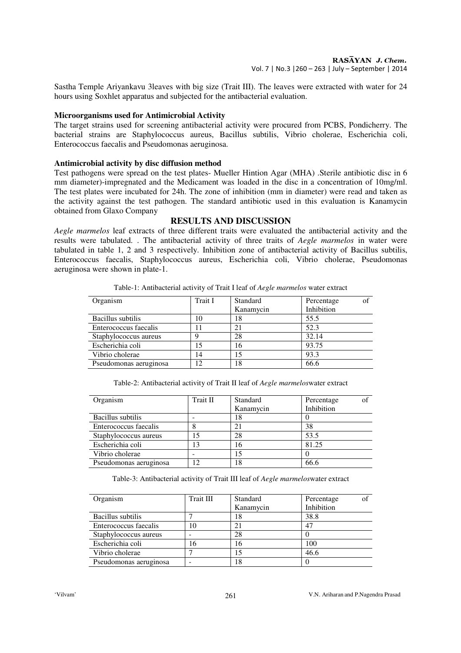Sastha Temple Ariyankavu 3leaves with big size (Trait III). The leaves were extracted with water for 24 hours using Soxhlet apparatus and subjected for the antibacterial evaluation.

#### **Microorganisms used for Antimicrobial Activity**

The target strains used for screening antibacterial activity were procured from PCBS, Pondicherry. The bacterial strains are Staphylococcus aureus, Bacillus subtilis, Vibrio cholerae, Escherichia coli, Enterococcus faecalis and Pseudomonas aeruginosa.

#### **Antimicrobial activity by disc diffusion method**

Test pathogens were spread on the test plates- Mueller Hintion Agar (MHA) .Sterile antibiotic disc in 6 mm diameter)-impregnated and the Medicament was loaded in the disc in a concentration of 10mg/ml. The test plates were incubated for 24h. The zone of inhibition (mm in diameter) were read and taken as the activity against the test pathogen. The standard antibiotic used in this evaluation is Kanamycin obtained from Glaxo Company

### **RESULTS AND DISCUSSION**

*Aegle marmelos* leaf extracts of three different traits were evaluated the antibacterial activity and the results were tabulated. . The antibacterial activity of three traits of *Aegle marmelos* in water were tabulated in table 1, 2 and 3 respectively. Inhibition zone of antibacterial activity of Bacillus subtilis, Enterococcus faecalis, Staphylococcus aureus, Escherichia coli, Vibrio cholerae, Pseudomonas aeruginosa were shown in plate-1.

| Organism               | Trait I | Standard  | οf<br>Percentage |
|------------------------|---------|-----------|------------------|
|                        |         | Kanamycin | Inhibition       |
| Bacillus subtilis      | 10      | 18        | 55.5             |
| Enterococcus faecalis  |         | 21        | 52.3             |
| Staphylococcus aureus  | Q       | 28        | 32.14            |
| Escherichia coli       |         | 16        | 93.75            |
| Vibrio cholerae        | 14      | 15        | 93.3             |
| Pseudomonas aeruginosa | 12      | 18        | 66.6             |

Table-1: Antibacterial activity of Trait I leaf of *Aegle marmelos* water extract

Table-2: Antibacterial activity of Trait II leaf of *Aegle marmelos*water extract

| Organism               | Trait II | Standard  | Percentage |
|------------------------|----------|-----------|------------|
|                        |          | Kanamycin | Inhibition |
| Bacillus subtilis      |          | 18        |            |
| Enterococcus faecalis  |          |           | 38         |
| Staphylococcus aureus  | 15       | 28        | 53.5       |
| Escherichia coli       | 13       | 16        | 81.25      |
| Vibrio cholerae        |          |           |            |
| Pseudomonas aeruginosa | 12       | 18        | 66.6       |

Table-3: Antibacterial activity of Trait III leaf of *Aegle marmelos*water extract

| Organism               | Trait III | Standard  | Percentage<br>of |
|------------------------|-----------|-----------|------------------|
|                        |           | Kanamycin | Inhibition       |
| Bacillus subtilis      |           | 18        | 38.8             |
| Enterococcus faecalis  | 10        | 21        | 47               |
| Staphylococcus aureus  |           | 28        |                  |
| Escherichia coli       | 16        | 16        | 100              |
| Vibrio cholerae        |           |           | 46.6             |
| Pseudomonas aeruginosa |           | 18        |                  |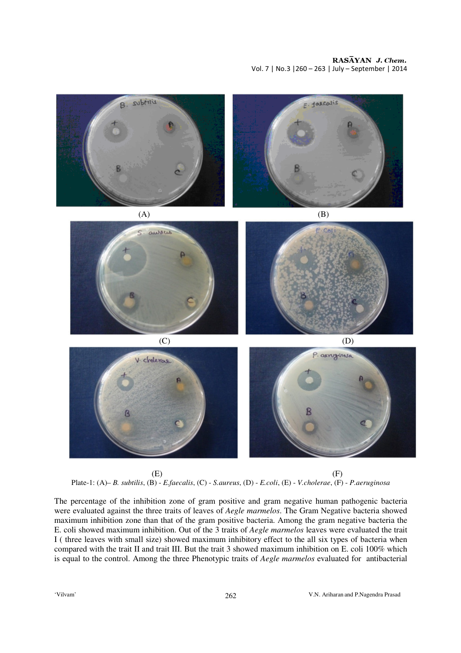RASAYAN J. Chem. Vol. 7 | No.3 |260 – 263 | July – September | 2014



 $(E)$  (F) Plate-1: (A)– *B. subtilis*, (B) - *E.faecalis*, (C) - *S.aureus*, (D) - *E.coli*, (E) - *V.cholerae*, (F) - *P.aeruginosa*

The percentage of the inhibition zone of gram positive and gram negative human pathogenic bacteria were evaluated against the three traits of leaves of *Aegle marmelos*. The Gram Negative bacteria showed maximum inhibition zone than that of the gram positive bacteria. Among the gram negative bacteria the E. coli showed maximum inhibition. Out of the 3 traits of *Aegle marmelos* leaves were evaluated the trait I ( three leaves with small size) showed maximum inhibitory effect to the all six types of bacteria when compared with the trait II and trait III. But the trait 3 showed maximum inhibition on E. coli 100% which is equal to the control. Among the three Phenotypic traits of *Aegle marmelos* evaluated for antibacterial